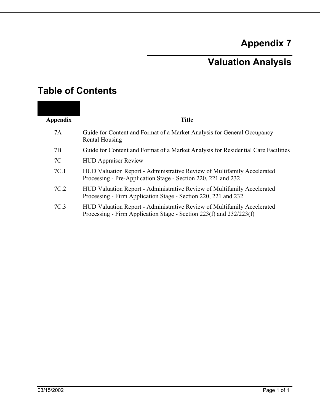# **Appendix 7**

# **Valuation Analysis**

| <b>Table of Contents</b> |  |
|--------------------------|--|
|--------------------------|--|

| <b>Appendix</b> | <b>Title</b>                                                                                                                                   |
|-----------------|------------------------------------------------------------------------------------------------------------------------------------------------|
|                 |                                                                                                                                                |
| 7A              | Guide for Content and Format of a Market Analysis for General Occupancy<br>Rental Housing                                                      |
| 7B              | Guide for Content and Format of a Market Analysis for Residential Care Facilities                                                              |
| 7C              | <b>HUD Appraiser Review</b>                                                                                                                    |
| 7C.1            | HUD Valuation Report - Administrative Review of Multifamily Accelerated<br>Processing - Pre-Application Stage - Section 220, 221 and 232       |
| 7C.2            | HUD Valuation Report - Administrative Review of Multifamily Accelerated<br>Processing - Firm Application Stage - Section 220, 221 and 232      |
| 7C.3            | HUD Valuation Report - Administrative Review of Multifamily Accelerated<br>Processing - Firm Application Stage - Section 223(f) and 232/223(f) |
|                 |                                                                                                                                                |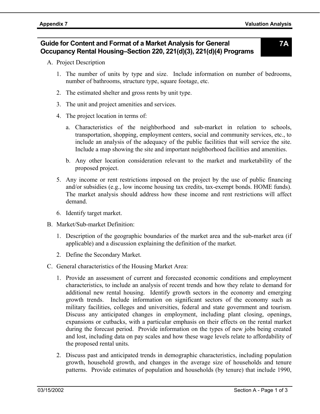## **Guide for Content and Format of a Market Analysis for General Occupancy Rental Housing–Section 220, 221(d)(3), 221(d)(4) Programs**

**7A** 

- A. Project Description
	- 1. The number of units by type and size. Include information on number of bedrooms, number of bathrooms, structure type, square footage, etc.
	- 2. The estimated shelter and gross rents by unit type.
	- 3. The unit and project amenities and services.
	- 4. The project location in terms of:
		- a. Characteristics of the neighborhood and sub-market in relation to schools, transportation, shopping, employment centers, social and community services, etc., to include an analysis of the adequacy of the public facilities that will service the site. Include a map showing the site and important neighborhood facilities and amenities.
		- b. Any other location consideration relevant to the market and marketability of the proposed project.
	- 5. Any income or rent restrictions imposed on the project by the use of public financing and/or subsidies (e.g., low income housing tax credits, tax-exempt bonds. HOME funds). The market analysis should address how these income and rent restrictions will affect demand.
	- 6. Identify target market.
- B. Market/Sub-market Definition:
	- 1. Description of the geographic boundaries of the market area and the sub-market area (if applicable) and a discussion explaining the definition of the market.
	- 2. Define the Secondary Market.
- C. General characteristics of the Housing Market Area:
	- 1. Provide an assessment of current and forecasted economic conditions and employment characteristics, to include an analysis of recent trends and how they relate to demand for additional new rental housing. Identify growth sectors in the economy and emerging growth trends. Include information on significant sectors of the economy such as military facilities, colleges and universities, federal and state government and tourism. Discuss any anticipated changes in employment, including plant closing, openings, expansions or cutbacks, with a particular emphasis on their effects on the rental market during the forecast period. Provide information on the types of new jobs being created and lost, including data on pay scales and how these wage levels relate to affordability of the proposed rental units.
	- 2. Discuss past and anticipated trends in demographic characteristics, including population growth, household growth, and changes in the average size of households and tenure patterns. Provide estimates of population and households (by tenure) that include 1990,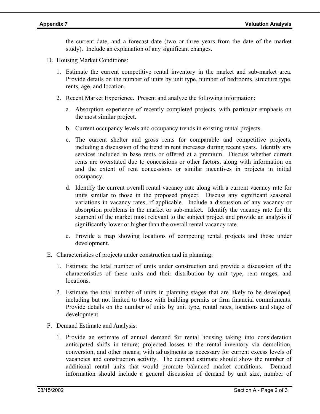the current date, and a forecast date (two or three years from the date of the market study). Include an explanation of any significant changes.

- D. Housing Market Conditions:
	- 1. Estimate the current competitive rental inventory in the market and sub-market area. Provide details on the number of units by unit type, number of bedrooms, structure type, rents, age, and location.
	- 2. Recent Market Experience. Present and analyze the following information:
		- a. Absorption experience of recently completed projects, with particular emphasis on the most similar project.
		- b. Current occupancy levels and occupancy trends in existing rental projects.
		- c. The current shelter and gross rents for comparable and competitive projects, including a discussion of the trend in rent increases during recent years. Identify any services included in base rents or offered at a premium. Discuss whether current rents are overstated due to concessions or other factors, along with information on and the extent of rent concessions or similar incentives in projects in initial occupancy.
		- d. Identify the current overall rental vacancy rate along with a current vacancy rate for units similar to those in the proposed project. Discuss any significant seasonal variations in vacancy rates, if applicable. Include a discussion of any vacancy or absorption problems in the market or sub-market. Identify the vacancy rate for the segment of the market most relevant to the subject project and provide an analysis if significantly lower or higher than the overall rental vacancy rate.
		- e. Provide a map showing locations of competing rental projects and those under development.
- E. Characteristics of projects under construction and in planning:
	- 1. Estimate the total number of units under construction and provide a discussion of the characteristics of these units and their distribution by unit type, rent ranges, and locations.
	- 2. Estimate the total number of units in planning stages that are likely to be developed, including but not limited to those with building permits or firm financial commitments. Provide details on the number of units by unit type, rental rates, locations and stage of development.
- F. Demand Estimate and Analysis:
	- 1. Provide an estimate of annual demand for rental housing taking into consideration anticipated shifts in tenure; projected losses to the rental inventory via demolition, conversion, and other means; with adjustments as necessary for current excess levels of vacancies and construction activity. The demand estimate should show the number of additional rental units that would promote balanced market conditions. Demand information should include a general discussion of demand by unit size, number of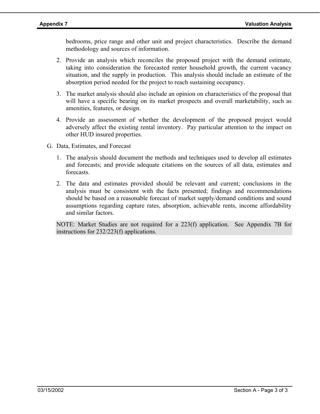bedrooms, price range and other unit and project characteristics. Describe the demand methodology and sources of information.

- 2. Provide an analysis which reconciles the proposed project with the demand estimate, taking into consideration the forecasted renter household growth, the current vacancy situation, and the supply in production. This analysis should include an estimate of the absorption period needed for the project to reach sustaining occupancy.
- 3. The market analysis should also include an opinion on characteristics of the proposal that will have a specific bearing on its market prospects and overall marketability, such as amenities, features, or design.
- 4. Provide an assessment of whether the development of the proposed project would adversely affect the existing rental inventory. Pay particular attention to the impact on other HUD insured properties.
- G. Data, Estimates, and Forecast
	- 1. The analysis should document the methods and techniques used to develop all estimates and forecasts; and provide adequate citations on the sources of all data, estimates and forecasts.
	- 2. The data and estimates provided should be relevant and current; conclusions in the analysis must be consistent with the facts presented; findings and recommendations should be based on a reasonable forecast of market supply/demand conditions and sound assumptions regarding capture rates, absorption, achievable rents, income affordability and similar factors.

NOTE: Market Studies are not required for a 223(f) application. See Appendix 7B for instructions for 232/223(f) applications.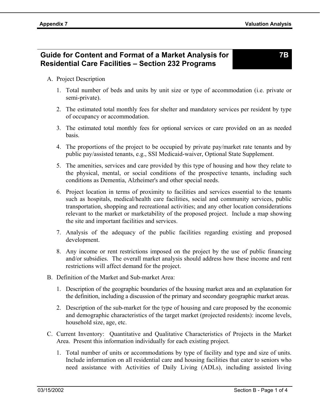# **Guide for Content and Format of a Market Analysis for Residential Care Facilities – Section 232 Programs**

**7B** 

### A. Project Description

- 1. Total number of beds and units by unit size or type of accommodation (i.e. private or semi-private).
- 2. The estimated total monthly fees for shelter and mandatory services per resident by type of occupancy or accommodation.
- 3. The estimated total monthly fees for optional services or care provided on an as needed basis.
- 4. The proportions of the project to be occupied by private pay/market rate tenants and by public pay/assisted tenants, e.g., SSI Medicaid-waiver, Optional State Supplement.
- 5. The amenities, services and care provided by this type of housing and how they relate to the physical, mental, or social conditions of the prospective tenants, including such conditions as Dementia, Alzheimer's and other special needs.
- 6. Project location in terms of proximity to facilities and services essential to the tenants such as hospitals, medical/health care facilities, social and community services, public transportation, shopping and recreational activities; and any other location considerations relevant to the market or marketability of the proposed project. Include a map showing the site and important facilities and services.
- 7. Analysis of the adequacy of the public facilities regarding existing and proposed development.
- 8. Any income or rent restrictions imposed on the project by the use of public financing and/or subsidies. The overall market analysis should address how these income and rent restrictions will affect demand for the project.
- B. Definition of the Market and Sub-market Area:
	- 1. Description of the geographic boundaries of the housing market area and an explanation for the definition, including a discussion of the primary and secondary geographic market areas.
	- 2. Description of the sub-market for the type of housing and care proposed by the economic and demographic characteristics of the target market (projected residents): income levels, household size, age, etc.
- C. Current Inventory: Quantitative and Qualitative Characteristics of Projects in the Market Area. Present this information individually for each existing project.
	- 1. Total number of units or accommodations by type of facility and type and size of units. Include information on all residential care and housing facilities that cater to seniors who need assistance with Activities of Daily Living (ADLs), including assisted living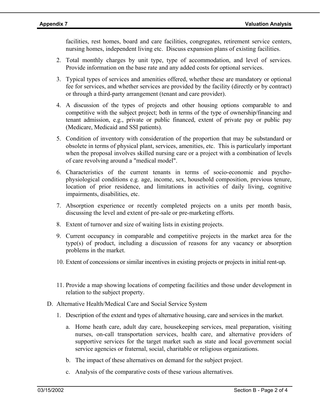facilities, rest homes, board and care facilities, congregates, retirement service centers, nursing homes, independent living etc. Discuss expansion plans of existing facilities.

- 2. Total monthly charges by unit type, type of accommodation, and level of services. Provide information on the base rate and any added costs for optional services.
- 3. Typical types of services and amenities offered, whether these are mandatory or optional fee for services, and whether services are provided by the facility (directly or by contract) or through a third-party arrangement (tenant and care provider).
- 4. A discussion of the types of projects and other housing options comparable to and competitive with the subject project; both in terms of the type of ownership/financing and tenant admission, e.g., private or public financed, extent of private pay or public pay (Medicare, Medicaid and SSI patients).
- 5. Condition of inventory with consideration of the proportion that may be substandard or obsolete in terms of physical plant, services, amenities, etc. This is particularly important when the proposal involves skilled nursing care or a project with a combination of levels of care revolving around a "medical model".
- 6. Characteristics of the current tenants in terms of socio-economic and psychophysiological conditions e.g. age, income, sex, household composition, previous tenure, location of prior residence, and limitations in activities of daily living, cognitive impairments, disabilities, etc.
- 7. Absorption experience or recently completed projects on a units per month basis, discussing the level and extent of pre-sale or pre-marketing efforts.
- 8. Extent of turnover and size of waiting lists in existing projects.
- 9. Current occupancy in comparable and competitive projects in the market area for the type(s) of product, including a discussion of reasons for any vacancy or absorption problems in the market.
- 10. Extent of concessions or similar incentives in existing projects or projects in initial rent-up.
- 11. Provide a map showing locations of competing facilities and those under development in relation to the subject property.
- D. Alternative Health/Medical Care and Social Service System
	- 1. Description of the extent and types of alternative housing, care and services in the market.
		- a. Home heath care, adult day care, housekeeping services, meal preparation, visiting nurses, on-call transportation services, health care, and alternative providers of supportive services for the target market such as state and local government social service agencies or fraternal, social, charitable or religious organizations.
		- b. The impact of these alternatives on demand for the subject project.
		- c. Analysis of the comparative costs of these various alternatives.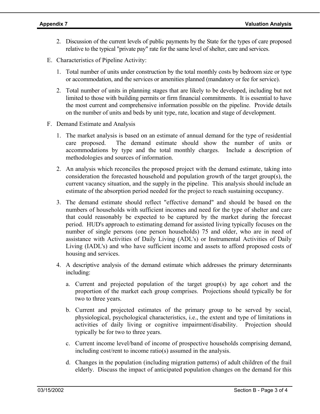- 2. Discussion of the current levels of public payments by the State for the types of care proposed relative to the typical "private pay" rate for the same level of shelter, care and services.
- E. Characteristics of Pipeline Activity:
	- 1. Total number of units under construction by the total monthly costs by bedroom size or type or accommodation, and the services or amenities planned (mandatory or fee for service).
	- 2. Total number of units in planning stages that are likely to be developed, including but not limited to those with building permits or firm financial commitments. It is essential to have the most current and comprehensive information possible on the pipeline. Provide details on the number of units and beds by unit type, rate, location and stage of development.
- F. Demand Estimate and Analysis
	- 1. The market analysis is based on an estimate of annual demand for the type of residential care proposed. The demand estimate should show the number of units or accommodations by type and the total monthly charges. Include a description of methodologies and sources of information.
	- 2. An analysis which reconciles the proposed project with the demand estimate, taking into consideration the forecasted household and population growth of the target group(s), the current vacancy situation, and the supply in the pipeline. This analysis should include an estimate of the absorption period needed for the project to reach sustaining occupancy.
	- 3. The demand estimate should reflect "effective demand" and should be based on the numbers of households with sufficient incomes and need for the type of shelter and care that could reasonably be expected to be captured by the market during the forecast period. HUD's approach to estimating demand for assisted living typically focuses on the number of single persons (one person households) 75 and older, who are in need of assistance with Activities of Daily Living (ADL's) or Instrumental Activities of Daily Living (IADL's) and who have sufficient income and assets to afford proposed costs of housing and services.
	- 4. A descriptive analysis of the demand estimate which addresses the primary determinants including:
		- a. Current and projected population of the target group(s) by age cohort and the proportion of the market each group comprises. Projections should typically be for two to three years.
		- b. Current and projected estimates of the primary group to be served by social, physiological, psychological characteristics, i.e., the extent and type of limitations in activities of daily living or cognitive impairment/disability. Projection should typically be for two to three years.
		- c. Current income level/band of income of prospective households comprising demand, including cost/rent to income ratio(s) assumed in the analysis.
		- d. Changes in the population (including migration patterns) of adult children of the frail elderly. Discuss the impact of anticipated population changes on the demand for this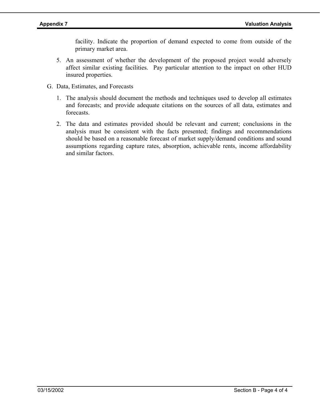facility. Indicate the proportion of demand expected to come from outside of the primary market area.

- 5. An assessment of whether the development of the proposed project would adversely affect similar existing facilities. Pay particular attention to the impact on other HUD insured properties.
- G. Data, Estimates, and Forecasts
	- 1. The analysis should document the methods and techniques used to develop all estimates and forecasts; and provide adequate citations on the sources of all data, estimates and forecasts.
	- 2. The data and estimates provided should be relevant and current; conclusions in the analysis must be consistent with the facts presented; findings and recommendations should be based on a reasonable forecast of market supply/demand conditions and sound assumptions regarding capture rates, absorption, achievable rents, income affordability and similar factors.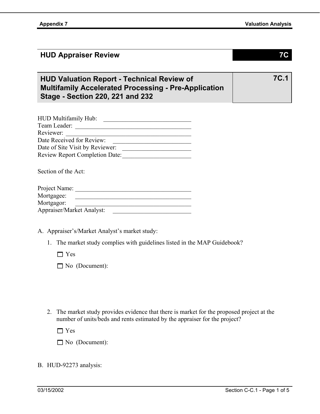## **HUD Appraiser Review 7C**

**7C.1** 

# **HUD Valuation Report - Technical Review of Multifamily Accelerated Processing - Pre-Application Stage - Section 220, 221 and 232**

| HUD Multifamily Hub:                  |  |
|---------------------------------------|--|
| Team Leader:                          |  |
| Reviewer:                             |  |
| Date Received for Review:             |  |
| Date of Site Visit by Reviewer:       |  |
| <b>Review Report Completion Date:</b> |  |
|                                       |  |

Section of the Act:

| Project Name:             |  |
|---------------------------|--|
| Mortgagee:                |  |
| Mortgagor:                |  |
| Appraiser/Market Analyst: |  |

A. Appraiser's/Market Analyst's market study:

1. The market study complies with guidelines listed in the MAP Guidebook?

 $\Box$  Yes

No (Document):

2. The market study provides evidence that there is market for the proposed project at the number of units/beds and rents estimated by the appraiser for the project?

□ Yes

No (Document):

### B. HUD-92273 analysis: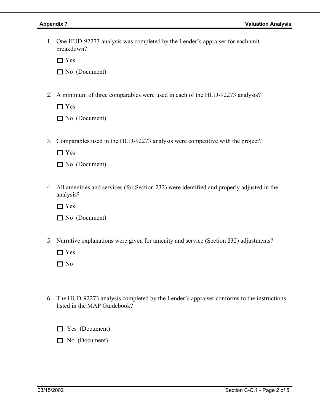1. One HUD-92273 analysis was completed by the Lender's appraiser for each unit breakdown?

□ Yes

No (Document)

2. A minimum of three comparables were used in each of the HUD-92273 analysis?

□ Yes

No (Document)

3. Comparables used in the HUD-92273 analysis were competitive with the project?

□ Yes

No (Document)

4. All amenities and services (for Section 232) were identified and properly adjusted in the analysis?

□ Yes

No (Document)

5. Narrative explanations were given for amenity and service (Section 232) adjustments?

 Yes  $\Box$  No

6. The HUD-92273 analysis completed by the Lender's appraiser conforms to the instructions listed in the MAP Guidebook?

**Nes** (Document)

No (Document)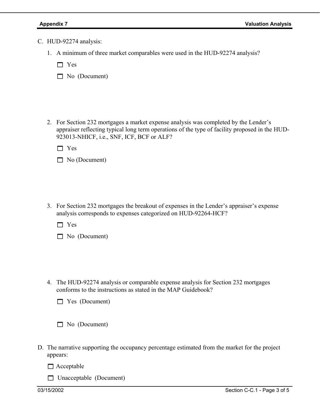- C. HUD-92274 analysis:
	- 1. A minimum of three market comparables were used in the HUD-92274 analysis?

□ Yes

No (Document)

2. For Section 232 mortgages a market expense analysis was completed by the Lender's appraiser reflecting typical long term operations of the type of facility proposed in the HUD-923013-NHICF, i.e., SNF, ICF, BCF or ALF?

Yes

|  |  | $\Box$ No (Document) |
|--|--|----------------------|
|--|--|----------------------|

3. For Section 232 mortgages the breakout of expenses in the Lender's appraiser's expense analysis corresponds to expenses categorized on HUD-92264-HCF?

□ Yes

|  |  | $\Box$ No (Document) |
|--|--|----------------------|
|--|--|----------------------|

4. The HUD-92274 analysis or comparable expense analysis for Section 232 mortgages conforms to the instructions as stated in the MAP Guidebook?

|  |  | $\Box$ Yes (Document) |
|--|--|-----------------------|
|--|--|-----------------------|

No (Document)

D. The narrative supporting the occupancy percentage estimated from the market for the project appears:

 $\Box$  Acceptable

Unacceptable (Document)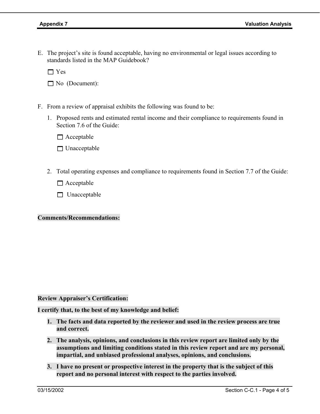E. The project's site is found acceptable, having no environmental or legal issues according to standards listed in the MAP Guidebook?

 $\Box$  Yes

No (Document):

- F. From a review of appraisal exhibits the following was found to be:
	- 1. Proposed rents and estimated rental income and their compliance to requirements found in Section 7.6 of the Guide:

 $\Box$  Acceptable

 $\Box$  Unacceptable

2. Total operating expenses and compliance to requirements found in Section 7.7 of the Guide:

 $\Box$  Acceptable

 $\Box$  Unacceptable

**Comments/Recommendations:** 

**Review Appraiser's Certification:** 

**I certify that, to the best of my knowledge and belief:** 

- **1. The facts and data reported by the reviewer and used in the review process are true and correct.**
- **2. The analysis, opinions, and conclusions in this review report are limited only by the assumptions and limiting conditions stated in this review report and are my personal, impartial, and unbiased professional analyses, opinions, and conclusions.**
- **3. I have no present or prospective interest in the property that is the subject of this report and no personal interest with respect to the parties involved.**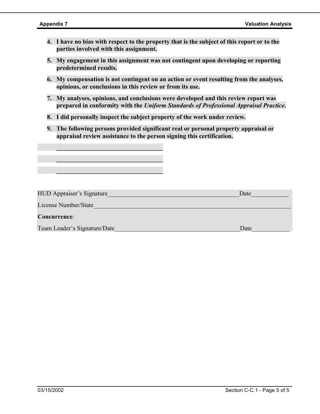- **4. I have no bias with respect to the property that is the subject of this report or to the parties involved with this assignment.**
- **5. My engagement in this assignment was not contingent upon developing or reporting predetermined results.**
- **6. My compensation is not contingent on an action or event resulting from the analyses, opinions, or conclusions in this review or from its use.**
- **7. My analyses, opinions, and conclusions were developed and this review report was prepared in conformity with the** *Uniform Standards of Professional Appraisal Practice***.**
- **8. I did personally inspect the subject property of the work under review.**

 $\frac{1}{2}$  ,  $\frac{1}{2}$  ,  $\frac{1}{2}$  ,  $\frac{1}{2}$  ,  $\frac{1}{2}$  ,  $\frac{1}{2}$  ,  $\frac{1}{2}$  ,  $\frac{1}{2}$  ,  $\frac{1}{2}$  ,  $\frac{1}{2}$  ,  $\frac{1}{2}$  ,  $\frac{1}{2}$  ,  $\frac{1}{2}$  ,  $\frac{1}{2}$  ,  $\frac{1}{2}$  ,  $\frac{1}{2}$  ,  $\frac{1}{2}$  ,  $\frac{1}{2}$  ,  $\frac{1$ 

 $\frac{1}{2}$  ,  $\frac{1}{2}$  ,  $\frac{1}{2}$  ,  $\frac{1}{2}$  ,  $\frac{1}{2}$  ,  $\frac{1}{2}$  ,  $\frac{1}{2}$  ,  $\frac{1}{2}$  ,  $\frac{1}{2}$  ,  $\frac{1}{2}$  ,  $\frac{1}{2}$  ,  $\frac{1}{2}$  ,  $\frac{1}{2}$  ,  $\frac{1}{2}$  ,  $\frac{1}{2}$  ,  $\frac{1}{2}$  ,  $\frac{1}{2}$  ,  $\frac{1}{2}$  ,  $\frac{1$ 

 $\frac{1}{2}$  ,  $\frac{1}{2}$  ,  $\frac{1}{2}$  ,  $\frac{1}{2}$  ,  $\frac{1}{2}$  ,  $\frac{1}{2}$  ,  $\frac{1}{2}$  ,  $\frac{1}{2}$  ,  $\frac{1}{2}$  ,  $\frac{1}{2}$  ,  $\frac{1}{2}$  ,  $\frac{1}{2}$  ,  $\frac{1}{2}$  ,  $\frac{1}{2}$  ,  $\frac{1}{2}$  ,  $\frac{1}{2}$  ,  $\frac{1}{2}$  ,  $\frac{1}{2}$  ,  $\frac{1$ 

**9. The following persons provided significant real or personal property appraisal or appraisal review assistance to the person signing this certification.** 

| <b>HUD Appraiser's Signature</b> | Date |
|----------------------------------|------|
| License Number/State             |      |
| Concurrence:                     |      |
| Team Leader's Signature/Date     | Date |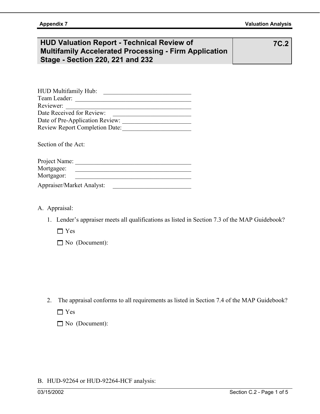# **HUD Valuation Report - Technical Review of Multifamily Accelerated Processing - Firm Application Stage - Section 220, 221 and 232**

**7C.2** 

| HUD Multifamily Hub:                  |  |
|---------------------------------------|--|
| Team Leader:                          |  |
| Reviewer:                             |  |
| Date Received for Review:             |  |
| Date of Pre-Application Review:       |  |
| <b>Review Report Completion Date:</b> |  |
|                                       |  |

Section of the Act:

| Project Name:             |  |
|---------------------------|--|
| Mortgagee:                |  |
| Mortgagor:                |  |
| Appraiser/Market Analyst: |  |

- A. Appraisal:
	- 1. Lender's appraiser meets all qualifications as listed in Section 7.3 of the MAP Guidebook?

□ Yes

No (Document):

2. The appraisal conforms to all requirements as listed in Section 7.4 of the MAP Guidebook?

Yes

|  | $\Box$ No (Document): |
|--|-----------------------|
|--|-----------------------|

### B. HUD-92264 or HUD-92264-HCF analysis: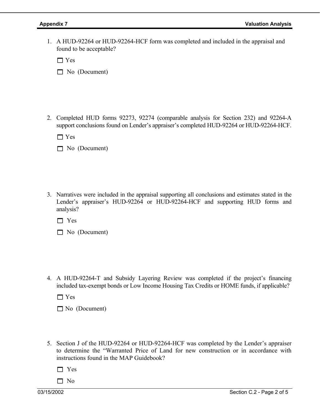1. A HUD-92264 or HUD-92264-HCF form was completed and included in the appraisal and found to be acceptable?

□ Yes

No (Document)

2. Completed HUD forms 92273, 92274 (comparable analysis for Section 232) and 92264-A support conclusions found on Lender's appraiser's completed HUD-92264 or HUD-92264-HCF.

 $\Box$  Yes

No (Document)

3. Narratives were included in the appraisal supporting all conclusions and estimates stated in the Lender's appraiser's HUD-92264 or HUD-92264-HCF and supporting HUD forms and analysis?

□ Yes

No (Document)

4. A HUD-92264-T and Subsidy Layering Review was completed if the project's financing included tax-exempt bonds or Low Income Housing Tax Credits or HOME funds, if applicable?

 $\Box$  Yes

No (Document)

5. Section J of the HUD-92264 or HUD-92264-HCF was completed by the Lender's appraiser to determine the "Warranted Price of Land for new construction or in accordance with instructions found in the MAP Guidebook?

 $\Box$  Yes

 $\Box$  No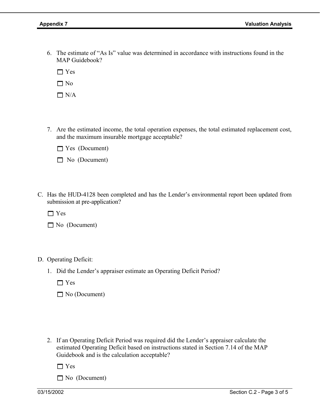6. The estimate of "As Is" value was determined in accordance with instructions found in the MAP Guidebook?

 $\Box$  Yes

 $\Box$  No

 $\Box$  N/A

- 7. Are the estimated income, the total operation expenses, the total estimated replacement cost, and the maximum insurable mortgage acceptable?
	- Yes (Document)
	- No (Document)
- C. Has the HUD-4128 been completed and has the Lender's environmental report been updated from submission at pre-application?

 $\Box$  Yes

No (Document)

- D. Operating Deficit:
	- 1. Did the Lender's appraiser estimate an Operating Deficit Period?
		- $\Box$  Yes
		- No (Document)
	- 2. If an Operating Deficit Period was required did the Lender's appraiser calculate the estimated Operating Deficit based on instructions stated in Section 7.14 of the MAP Guidebook and is the calculation acceptable?

□ Yes

No (Document)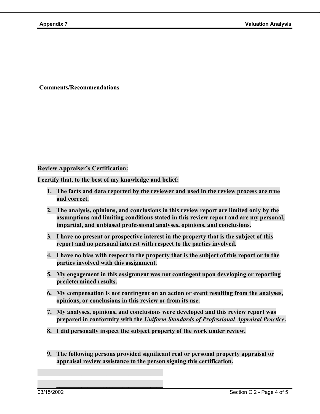**Comments/Recommendations** 

#### **Review Appraiser's Certification:**

**I certify that, to the best of my knowledge and belief:** 

 $\frac{1}{2}$  ,  $\frac{1}{2}$  ,  $\frac{1}{2}$  ,  $\frac{1}{2}$  ,  $\frac{1}{2}$  ,  $\frac{1}{2}$  ,  $\frac{1}{2}$  ,  $\frac{1}{2}$  ,  $\frac{1}{2}$  ,  $\frac{1}{2}$  ,  $\frac{1}{2}$  ,  $\frac{1}{2}$  ,  $\frac{1}{2}$  ,  $\frac{1}{2}$  ,  $\frac{1}{2}$  ,  $\frac{1}{2}$  ,  $\frac{1}{2}$  ,  $\frac{1}{2}$  ,  $\frac{1$ 

 $\frac{1}{2}$  ,  $\frac{1}{2}$  ,  $\frac{1}{2}$  ,  $\frac{1}{2}$  ,  $\frac{1}{2}$  ,  $\frac{1}{2}$  ,  $\frac{1}{2}$  ,  $\frac{1}{2}$  ,  $\frac{1}{2}$  ,  $\frac{1}{2}$  ,  $\frac{1}{2}$  ,  $\frac{1}{2}$  ,  $\frac{1}{2}$  ,  $\frac{1}{2}$  ,  $\frac{1}{2}$  ,  $\frac{1}{2}$  ,  $\frac{1}{2}$  ,  $\frac{1}{2}$  ,  $\frac{1$ 

- **1. The facts and data reported by the reviewer and used in the review process are true and correct.**
- **2. The analysis, opinions, and conclusions in this review report are limited only by the assumptions and limiting conditions stated in this review report and are my personal, impartial, and unbiased professional analyses, opinions, and conclusions.**
- **3. I have no present or prospective interest in the property that is the subject of this report and no personal interest with respect to the parties involved.**
- **4. I have no bias with respect to the property that is the subject of this report or to the parties involved with this assignment.**
- **5. My engagement in this assignment was not contingent upon developing or reporting predetermined results.**
- **6. My compensation is not contingent on an action or event resulting from the analyses, opinions, or conclusions in this review or from its use.**
- **7. My analyses, opinions, and conclusions were developed and this review report was prepared in conformity with the** *Uniform Standards of Professional Appraisal Practice***.**
- **8. I did personally inspect the subject property of the work under review.**
- **9. The following persons provided significant real or personal property appraisal or appraisal review assistance to the person signing this certification.**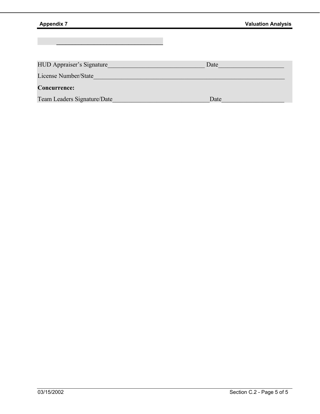$\mathcal{L} = \{ \mathcal{L} \mid \mathcal{L} \in \mathcal{L} \}$  , where  $\mathcal{L} = \{ \mathcal{L} \mid \mathcal{L} \in \mathcal{L} \}$ 

| <b>HUD Appraiser's Signature</b> | Date |
|----------------------------------|------|
| License Number/State             |      |
| <b>Concurrence:</b>              |      |
| Team Leaders Signature/Date      | Date |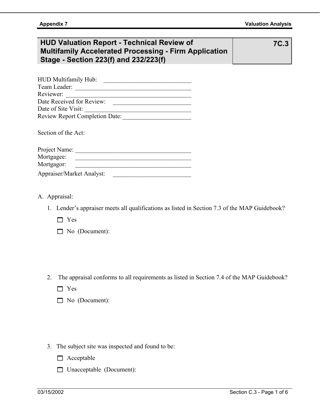# **HUD Valuation Report - Technical Review of Multifamily Accelerated Processing - Firm Application Stage - Section 223(f) and 232/223(f)**

**7C.3** 

| <b>HUD Multifamily Hub:</b>           |  |
|---------------------------------------|--|
| Team Leader:                          |  |
| Reviewer:                             |  |
| Date Received for Review:             |  |
| Date of Site Visit:                   |  |
| <b>Review Report Completion Date:</b> |  |

Section of the Act:

| Project Name:             |  |
|---------------------------|--|
| Mortgagee:                |  |
| Mortgagor:                |  |
| Appraiser/Market Analyst: |  |

- A. Appraisal:
	- 1. Lender's appraiser meets all qualifications as listed in Section 7.3 of the MAP Guidebook?
		- **T** Yes
		- No (Document):
	- 2. The appraisal conforms to all requirements as listed in Section 7.4 of the MAP Guidebook?
		- □ Yes
		- No (Document):
	- 3. The subject site was inspected and found to be:
		- $\Box$  Acceptable
		- Unacceptable (Document):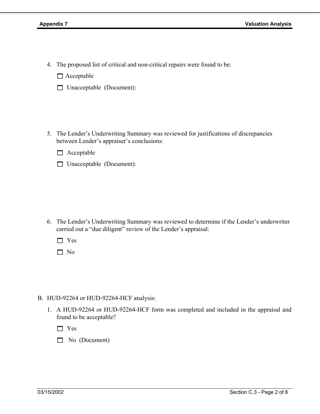4. The proposed list of critical and non-critical repairs were found to be:

 $\Box$  Acceptable

- Unacceptable (Document):
- 5. The Lender's Underwriting Summary was reviewed for justifications of discrepancies between Lender's appraiser's conclusions:

 $\Box$  Acceptable

□ Unacceptable (Document):

6. The Lender's Underwriting Summary was reviewed to determine if the Lender's underwriter carried out a "due diligent" review of the Lender's appraisal:

Yes

 $\Box$  No

- B. HUD-92264 or HUD-92264-HCF analysis:
	- 1. A HUD-92264 or HUD-92264-HCF form was completed and included in the appraisal and found to be acceptable?

□ Yes

No (Document)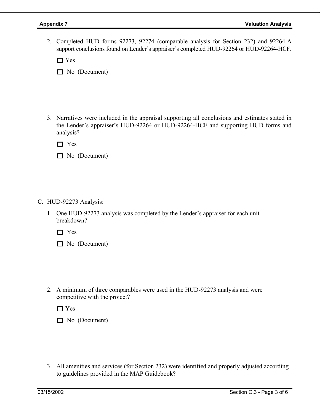2. Completed HUD forms 92273, 92274 (comparable analysis for Section 232) and 92264-A support conclusions found on Lender's appraiser's completed HUD-92264 or HUD-92264-HCF.

□ Yes

No (Document)

3. Narratives were included in the appraisal supporting all conclusions and estimates stated in the Lender's appraiser's HUD-92264 or HUD-92264-HCF and supporting HUD forms and analysis?

□ Yes

No (Document)

- C. HUD-92273 Analysis:
	- 1. One HUD-92273 analysis was completed by the Lender's appraiser for each unit breakdown?

□ Yes

No (Document)

2. A minimum of three comparables were used in the HUD-92273 analysis and were competitive with the project?

 $\Box$  Yes

No (Document)

3. All amenities and services (for Section 232) were identified and properly adjusted according to guidelines provided in the MAP Guidebook?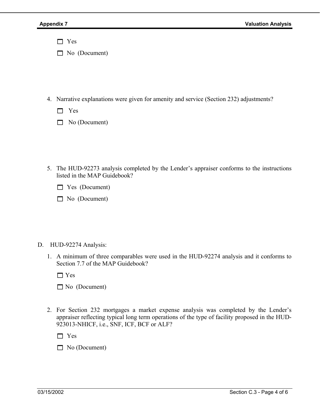□ Yes

No (Document)

- 4. Narrative explanations were given for amenity and service (Section 232) adjustments?
	- □ Yes
	- $\Box$  No (Document)
- 5. The HUD-92273 analysis completed by the Lender's appraiser conforms to the instructions listed in the MAP Guidebook?
	- **No. 7** Yes (Document)
	- No (Document)

### D. HUD-92274 Analysis:

1. A minimum of three comparables were used in the HUD-92274 analysis and it conforms to Section 7.7 of the MAP Guidebook?

□ Yes

No (Document)

2. For Section 232 mortgages a market expense analysis was completed by the Lender's appraiser reflecting typical long term operations of the type of facility proposed in the HUD-923013-NHICF, i.e., SNF, ICF, BCF or ALF?

□ Yes

No (Document)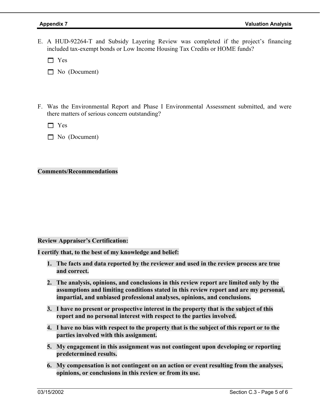E. A HUD-92264-T and Subsidy Layering Review was completed if the project's financing included tax-exempt bonds or Low Income Housing Tax Credits or HOME funds?

**T** Yes

- No (Document)
- F. Was the Environmental Report and Phase I Environmental Assessment submitted, and were there matters of serious concern outstanding?

 $\Box$  Yes

No (Document)

#### **Comments/Recommendations**

#### **Review Appraiser's Certification:**

**I certify that, to the best of my knowledge and belief:** 

- **1. The facts and data reported by the reviewer and used in the review process are true and correct.**
- **2. The analysis, opinions, and conclusions in this review report are limited only by the assumptions and limiting conditions stated in this review report and are my personal, impartial, and unbiased professional analyses, opinions, and conclusions.**
- **3. I have no present or prospective interest in the property that is the subject of this report and no personal interest with respect to the parties involved.**
- **4. I have no bias with respect to the property that is the subject of this report or to the parties involved with this assignment.**
- **5. My engagement in this assignment was not contingent upon developing or reporting predetermined results.**
- **6. My compensation is not contingent on an action or event resulting from the analyses, opinions, or conclusions in this review or from its use.**